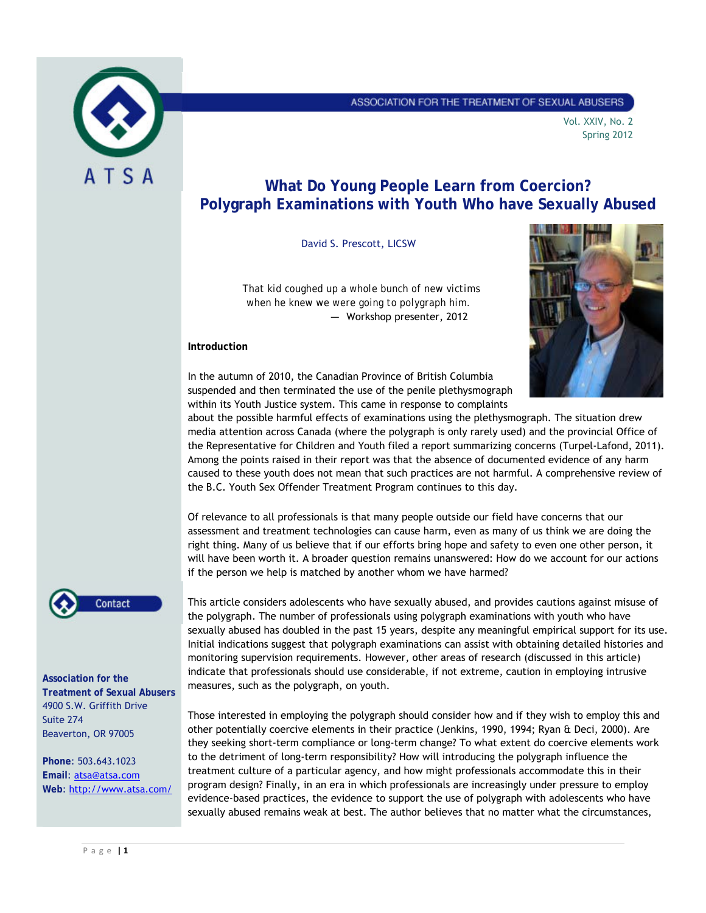

# ASSOCIATION FOR THE TREATMENT OF SEXUAL ABUSERS

Vol. XXIV, No. 2 Spring 2012

# **What Do Young People Learn from Coercion? Polygraph Examinations with Youth Who have Sexually Abused**

David S. Prescott, LICSW

*That kid coughed up a whole bunch of new victims when he knew we were going to polygraph him. —* Workshop presenter, 2012

## **Introduction**



In the autumn of 2010, the Canadian Province of British Columbia suspended and then terminated the use of the penile plethysmograph within its Youth Justice system. This came in response to complaints

about the possible harmful effects of examinations using the plethysmograph. The situation drew media attention across Canada (where the polygraph is only rarely used) and the provincial Office of the Representative for Children and Youth filed a report summarizing concerns (Turpel-Lafond, 2011). Among the points raised in their report was that the absence of documented evidence of any harm caused to these youth does not mean that such practices are not harmful. A comprehensive review of the B.C. Youth Sex Offender Treatment Program continues to this day.

Of relevance to all professionals is that many people outside our field have concerns that our assessment and treatment technologies can cause harm, even as many of us think we are doing the right thing. Many of us believe that if our efforts bring hope and safety to even one other person, it will have been worth it. A broader question remains unanswered: How do we account for our actions if the person we help is matched by another whom we have harmed?



**Association for the Treatment of Sexual Abusers** 4900 S.W. Griffith Drive Suite 274 Beaverton, OR 97005

**Phone**: 503.643.1023 **Email**: atsa@atsa.com **Web**: http://www.atsa.com/ This article considers adolescents who have sexually abused, and provides cautions against misuse of the polygraph. The number of professionals using polygraph examinations with youth who have sexually abused has doubled in the past 15 years, despite any meaningful empirical support for its use. Initial indications suggest that polygraph examinations can assist with obtaining detailed histories and monitoring supervision requirements. However, other areas of research (discussed in this article) indicate that professionals should use considerable, if not extreme, caution in employing intrusive measures, such as the polygraph, on youth.

Those interested in employing the polygraph should consider how and if they wish to employ this and other potentially coercive elements in their practice (Jenkins, 1990, 1994; Ryan & Deci, 2000). Are they seeking short-term compliance or long-term change? To what extent do coercive elements work to the detriment of long-term responsibility? How will introducing the polygraph influence the treatment culture of a particular agency, and how might professionals accommodate this in their program design? Finally, in an era in which professionals are increasingly under pressure to employ evidence-based practices, the evidence to support the use of polygraph with adolescents who have sexually abused remains weak at best. The author believes that no matter what the circumstances,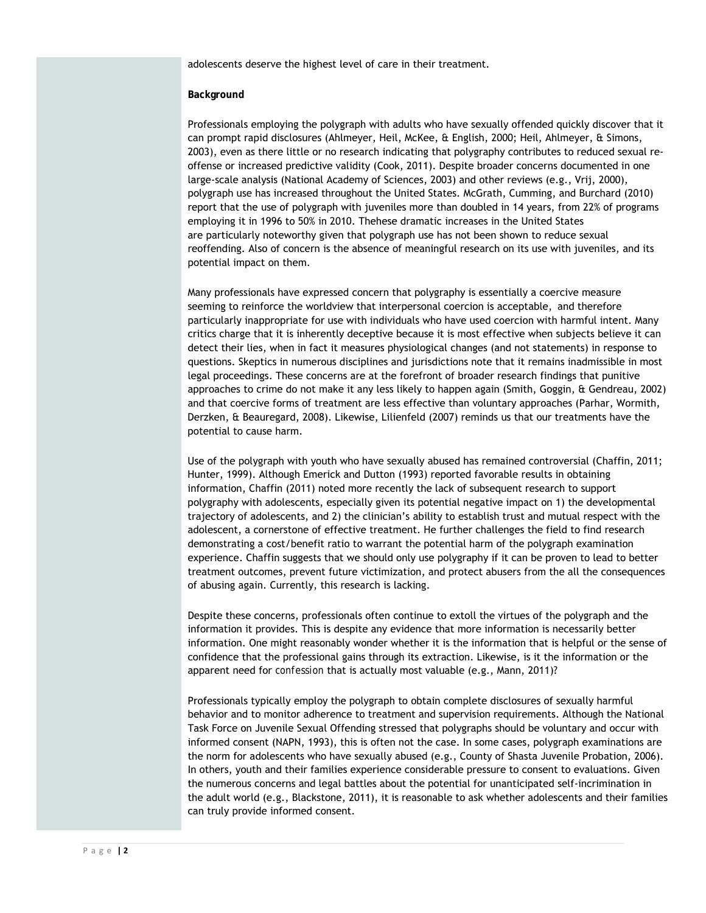adolescents deserve the highest level of care in their treatment.

#### **Background**

Professionals employing the polygraph with adults who have sexually offended quickly discover that it can prompt rapid disclosures (Ahlmeyer, Heil, McKee, & English, 2000; Heil, Ahlmeyer, & Simons, 2003), even as there little or no research indicating that polygraphy contributes to reduced sexual reoffense or increased predictive validity (Cook, 2011). Despite broader concerns documented in one large-scale analysis (National Academy of Sciences, 2003) and other reviews (e.g., Vrij, 2000), polygraph use has increased throughout the United States. McGrath, Cumming, and Burchard (2010) report that the use of polygraph with juveniles more than doubled in 14 years, from 22% of programs employing it in 1996 to 50% in 2010. Thehese dramatic increases in the United States are particularly noteworthy given that polygraph use has not been shown to reduce sexual reoffending. Also of concern is the absence of meaningful research on its use with juveniles, and its potential impact on them.

Many professionals have expressed concern that polygraphy is essentially a coercive measure seeming to reinforce the worldview that interpersonal coercion is acceptable, and therefore particularly inappropriate for use with individuals who have used coercion with harmful intent. Many critics charge that it is inherently deceptive because it is most effective when subjects believe it can detect their lies, when in fact it measures physiological changes (and not statements) in response to questions. Skeptics in numerous disciplines and jurisdictions note that it remains inadmissible in most legal proceedings. These concerns are at the forefront of broader research findings that punitive approaches to crime do not make it any less likely to happen again (Smith, Goggin, & Gendreau, 2002) and that coercive forms of treatment are less effective than voluntary approaches (Parhar, Wormith, Derzken, & Beauregard, 2008). Likewise, Lilienfeld (2007) reminds us that our treatments have the potential to cause harm.

Use of the polygraph with youth who have sexually abused has remained controversial (Chaffin, 2011; Hunter, 1999). Although Emerick and Dutton (1993) reported favorable results in obtaining information, Chaffin (2011) noted more recently the lack of subsequent research to support polygraphy with adolescents, especially given its potential negative impact on 1) the developmental trajectory of adolescents, and 2) the clinician's ability to establish trust and mutual respect with the adolescent, a cornerstone of effective treatment. He further challenges the field to find research demonstrating a cost/benefit ratio to warrant the potential harm of the polygraph examination experience. Chaffin suggests that we should only use polygraphy if it can be proven to lead to better treatment outcomes, prevent future victimization, and protect abusers from the all the consequences of abusing again. Currently, this research is lacking.

Despite these concerns, professionals often continue to extoll the virtues of the polygraph and the information it provides. This is despite any evidence that more information is necessarily better information. One might reasonably wonder whether it is the information that is helpful or the sense of confidence that the professional gains through its extraction. Likewise, is it the information or the apparent need for *confession* that is actually most valuable (e.g., Mann, 2011)?

Professionals typically employ the polygraph to obtain complete disclosures of sexually harmful behavior and to monitor adherence to treatment and supervision requirements. Although the National Task Force on Juvenile Sexual Offending stressed that polygraphs should be voluntary and occur with informed consent (NAPN, 1993), this is often not the case. In some cases, polygraph examinations are the norm for adolescents who have sexually abused (e.g., County of Shasta Juvenile Probation, 2006). In others, youth and their families experience considerable pressure to consent to evaluations. Given the numerous concerns and legal battles about the potential for unanticipated self-incrimination in the adult world (e.g., Blackstone, 2011), it is reasonable to ask whether adolescents and their families can truly provide informed consent.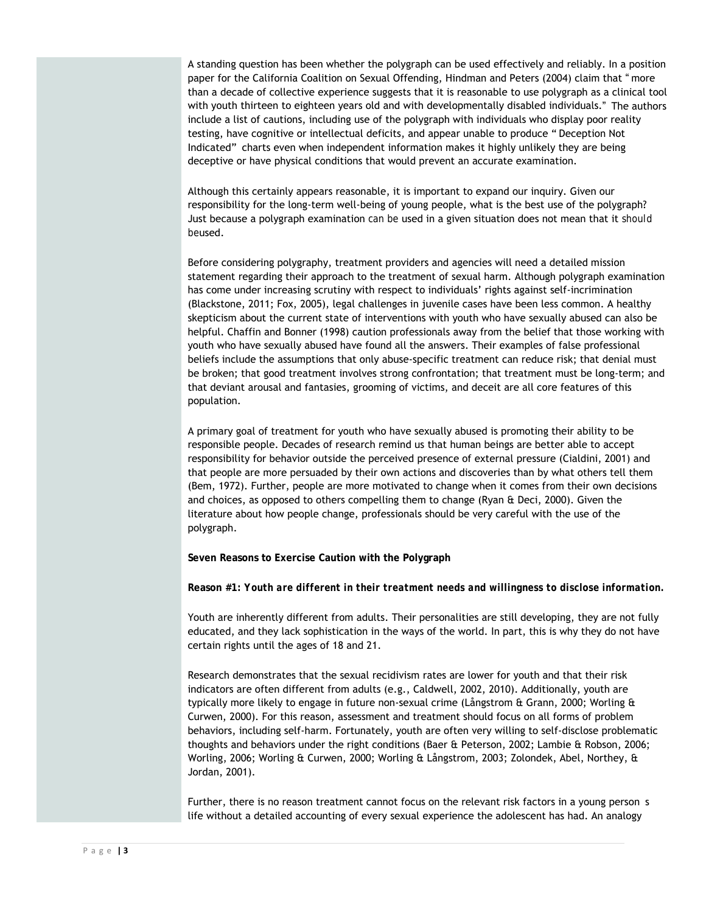A standing question has been whether the polygraph can be used effectively and reliably. In a position paper for the California Coalition on Sexual Offending, Hindman and Peters (2004) claim that " more than a decade of collective experience suggests that it is reasonable to use polygraph as a clinical tool with youth thirteen to eighteen years old and with developmentally disabled individuals." The authors include a list of cautions, including use of the polygraph with individuals who display poor reality testing, have cognitive or intellectual deficits, and appear unable to produce " Deception Not Indicated" charts even when independent information makes it highly unlikely they are being deceptive or have physical conditions that would prevent an accurate examination.

Although this certainly appears reasonable, it is important to expand our inquiry. Given our responsibility for the long-term well-being of young people, what is the best use of the polygraph? Just because a polygraph examination *can be* used in a given situation does not mean that it *should be*used.

Before considering polygraphy, treatment providers and agencies will need a detailed mission statement regarding their approach to the treatment of sexual harm. Although polygraph examination has come under increasing scrutiny with respect to individuals' rights against self-incrimination (Blackstone, 2011; Fox, 2005), legal challenges in juvenile cases have been less common. A healthy skepticism about the current state of interventions with youth who have sexually abused can also be helpful. Chaffin and Bonner (1998) caution professionals away from the belief that those working with youth who have sexually abused have found all the answers. Their examples of false professional beliefs include the assumptions that only abuse-specific treatment can reduce risk; that denial must be broken; that good treatment involves strong confrontation; that treatment must be long-term; and that deviant arousal and fantasies, grooming of victims, and deceit are all core features of this population.

A primary goal of treatment for youth who have sexually abused is promoting their ability to be responsible people. Decades of research remind us that human beings are better able to accept responsibility for behavior outside the perceived presence of external pressure (Cialdini, 2001) and that people are more persuaded by their own actions and discoveries than by what others tell them (Bem, 1972). Further, people are more motivated to change when it comes from their own decisions and choices, as opposed to others compelling them to change (Ryan & Deci, 2000). Given the literature about how people change, professionals should be very careful with the use of the polygraph.

**Seven Reasons to Exercise Caution with the Polygraph**

**Reason #1:** *Youth are different in their treatment needs and willingness to disclose information.* 

Youth are inherently different from adults. Their personalities are still developing, they are not fully educated, and they lack sophistication in the ways of the world. In part, this is why they do not have certain rights until the ages of 18 and 21.

Research demonstrates that the sexual recidivism rates are lower for youth and that their risk indicators are often different from adults (e.g., Caldwell, 2002, 2010). Additionally, youth are typically more likely to engage in future non-sexual crime (Långstrom & Grann, 2000; Worling & Curwen, 2000). For this reason, assessment and treatment should focus on all forms of problem behaviors, including self-harm. Fortunately, youth are often very willing to self-disclose problematic thoughts and behaviors under the right conditions (Baer & Peterson, 2002; Lambie & Robson, 2006; Worling, 2006; Worling & Curwen, 2000; Worling & Långstrom, 2003; Zolondek, Abel, Northey, & Jordan, 2001).

Further, there is no reason treatment cannot focus on the relevant risk factors in a young person s life without a detailed accounting of every sexual experience the adolescent has had. An analogy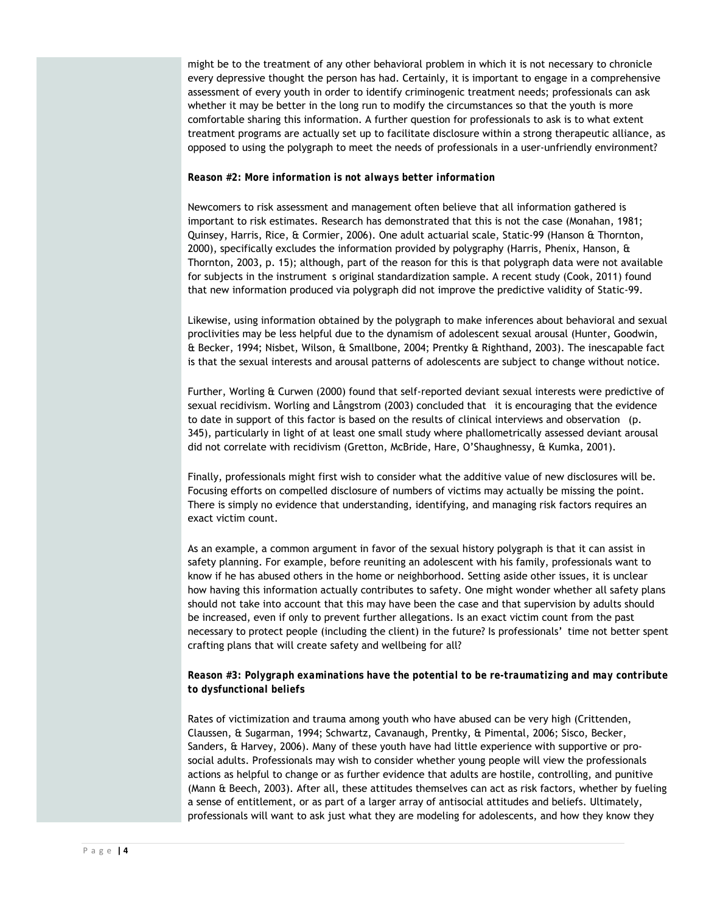might be to the treatment of any other behavioral problem in which it is not necessary to chronicle every depressive thought the person has had. Certainly, it is important to engage in a comprehensive assessment of every youth in order to identify criminogenic treatment needs; professionals can ask whether it may be better in the long run to modify the circumstances so that the youth is more comfortable sharing this information. A further question for professionals to ask is to what extent treatment programs are actually set up to facilitate disclosure within a strong therapeutic alliance, as opposed to using the polygraph to meet the needs of professionals in a user-unfriendly environment?

#### *Reason #2: More information is not always better information*

Newcomers to risk assessment and management often believe that all information gathered is important to risk estimates. Research has demonstrated that this is not the case (Monahan, 1981; Quinsey, Harris, Rice, & Cormier, 2006). One adult actuarial scale, Static-99 (Hanson & Thornton, 2000), specifically excludes the information provided by polygraphy (Harris, Phenix, Hanson,  $\theta$ Thornton, 2003, p. 15); although, part of the reason for this is that polygraph data were not available for subjects in the instrument s original standardization sample. A recent study (Cook, 2011) found that new information produced via polygraph did not improve the predictive validity of Static-99.

Likewise, using information obtained by the polygraph to make inferences about behavioral and sexual proclivities may be less helpful due to the dynamism of adolescent sexual arousal (Hunter, Goodwin, & Becker, 1994; Nisbet, Wilson, & Smallbone, 2004; Prentky & Righthand, 2003). The inescapable fact is that the sexual interests and arousal patterns of adolescents are subject to change without notice.

Further, Worling & Curwen (2000) found that self-reported deviant sexual interests were predictive of sexual recidivism. Worling and Långstrom (2003) concluded that it is encouraging that the evidence to date in support of this factor is based on the results of clinical interviews and observation (p. 345), particularly in light of at least one small study where phallometrically assessed deviant arousal did not correlate with recidivism (Gretton, McBride, Hare, O'Shaughnessy, & Kumka, 2001).

Finally, professionals might first wish to consider what the additive value of new disclosures will be. Focusing efforts on compelled disclosure of numbers of victims may actually be missing the point. There is simply no evidence that understanding, identifying, and managing risk factors requires an exact victim count.

As an example, a common argument in favor of the sexual history polygraph is that it can assist in safety planning. For example, before reuniting an adolescent with his family, professionals want to know if he has abused others in the home or neighborhood. Setting aside other issues, it is unclear how having this information actually contributes to safety. One might wonder whether all safety plans should not take into account that this may have been the case and that supervision by adults should be increased, even if only to prevent further allegations. Is an exact victim count from the past necessary to protect people (including the client) in the future? Is professionals' time not better spent crafting plans that will create safety and wellbeing for all?

# *Reason #3: Polygraph examinations have the potential to be re-traumatizing and may contribute to dysfunctional beliefs*

Rates of victimization and trauma among youth who have abused can be very high (Crittenden, Claussen, & Sugarman, 1994; Schwartz, Cavanaugh, Prentky, & Pimental, 2006; Sisco, Becker, Sanders, & Harvey, 2006). Many of these youth have had little experience with supportive or prosocial adults. Professionals may wish to consider whether young people will view the professionals actions as helpful to change or as further evidence that adults are hostile, controlling, and punitive (Mann & Beech, 2003). After all, these attitudes themselves can act as risk factors, whether by fueling a sense of entitlement, or as part of a larger array of antisocial attitudes and beliefs. Ultimately, professionals will want to ask just what they are modeling for adolescents, and how they know they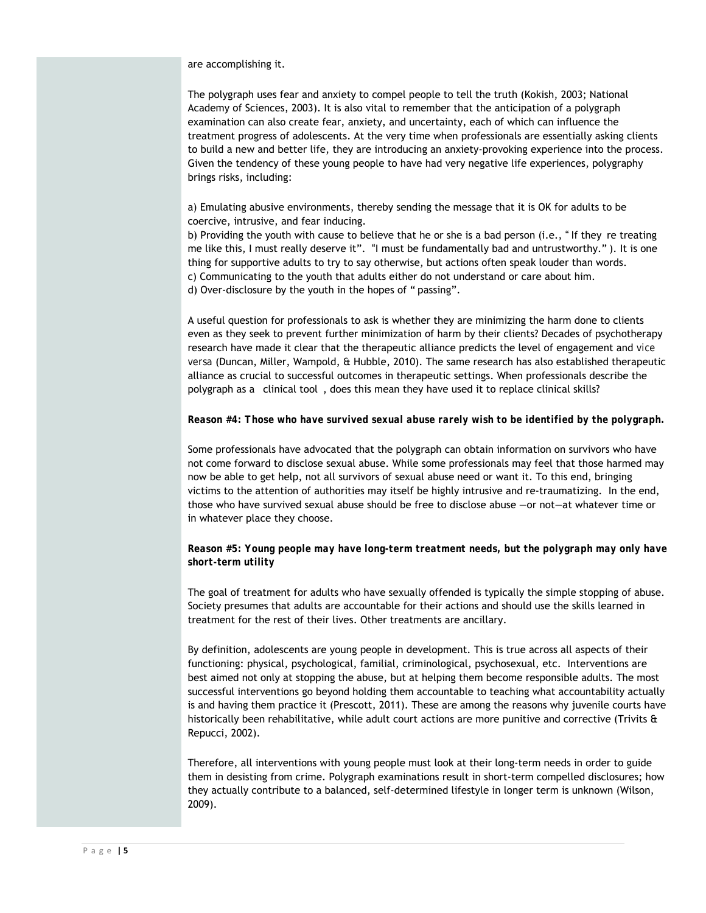are accomplishing it.

The polygraph uses fear and anxiety to compel people to tell the truth (Kokish, 2003; National Academy of Sciences, 2003). It is also vital to remember that the anticipation of a polygraph examination can also create fear, anxiety, and uncertainty, each of which can influence the treatment progress of adolescents. At the very time when professionals are essentially asking clients to build a new and better life, they are introducing an anxiety-provoking experience into the process. Given the tendency of these young people to have had very negative life experiences, polygraphy brings risks, including:

a) Emulating abusive environments, thereby sending the message that it is OK for adults to be coercive, intrusive, and fear inducing.

b) Providing the youth with cause to believe that he or she is a bad person (i.e., " If they re treating me like this, I must really deserve it". "I must be fundamentally bad and untrustworthy." ). It is one thing for supportive adults to try to say otherwise, but actions often speak louder than words. c) Communicating to the youth that adults either do not understand or care about him. d) Over-disclosure by the youth in the hopes of " passing".

A useful question for professionals to ask is whether they are minimizing the harm done to clients even as they seek to prevent further minimization of harm by their clients? Decades of psychotherapy research have made it clear that the therapeutic alliance predicts the level of engagement and *vice versa* (Duncan, Miller, Wampold, & Hubble, 2010). The same research has also established therapeutic alliance as crucial to successful outcomes in therapeutic settings. When professionals describe the polygraph as a clinical tool , does this mean they have used it to replace clinical skills?

## *Reason #4: Those who have survived sexual abuse rarely wish to be identified by the polygraph.*

Some professionals have advocated that the polygraph can obtain information on survivors who have not come forward to disclose sexual abuse. While some professionals may feel that those harmed may now be able to get help, not all survivors of sexual abuse need or want it. To this end, bringing victims to the attention of authorities may itself be highly intrusive and re-traumatizing. In the end, those who have survived sexual abuse should be free to disclose abuse —or not—at whatever time or in whatever place they choose.

# *Reason #5: Young people may have long-term treatment needs, but the polygraph may only have short-term utility*

The goal of treatment for adults who have sexually offended is typically the simple stopping of abuse. Society presumes that adults are accountable for their actions and should use the skills learned in treatment for the rest of their lives. Other treatments are ancillary.

By definition, adolescents are young people in development. This is true across all aspects of their functioning: physical, psychological, familial, criminological, psychosexual, etc. Interventions are best aimed not only at stopping the abuse, but at helping them become responsible adults. The most successful interventions go beyond holding them accountable to teaching what accountability actually is and having them practice it (Prescott, 2011). These are among the reasons why juvenile courts have historically been rehabilitative, while adult court actions are more punitive and corrective (Trivits & Repucci, 2002).

Therefore, all interventions with young people must look at their long-term needs in order to guide them in desisting from crime. Polygraph examinations result in short-term compelled disclosures; how they actually contribute to a balanced, self-determined lifestyle in longer term is unknown (Wilson, 2009).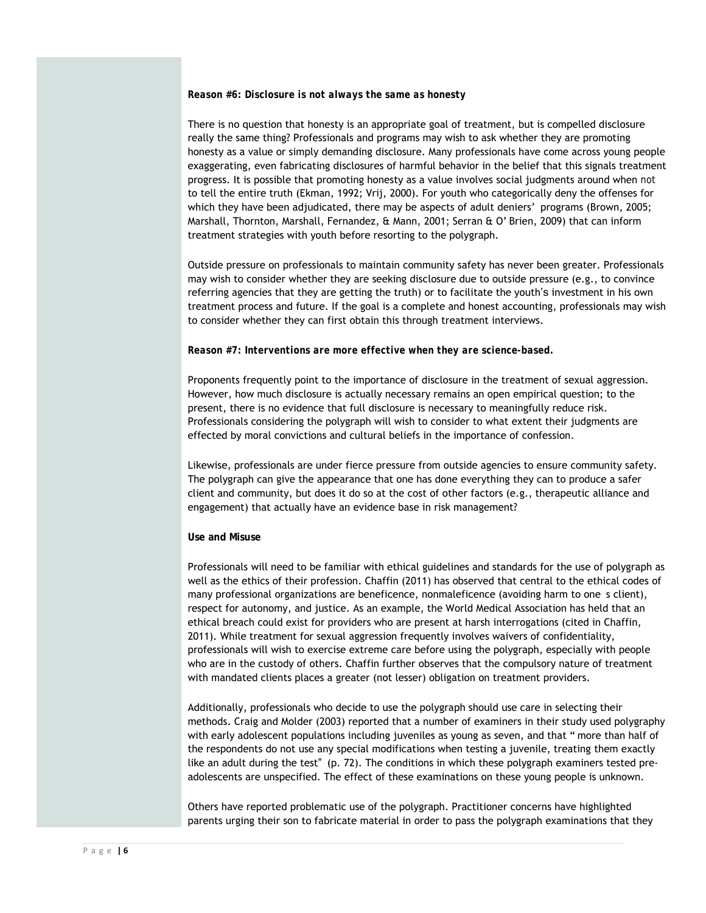#### *Reason #6: Disclosure is not always the same as honesty*

There is no question that honesty is an appropriate goal of treatment, but is compelled disclosure really the same thing? Professionals and programs may wish to ask whether they are promoting honesty as a value or simply demanding disclosure. Many professionals have come across young people exaggerating, even fabricating disclosures of harmful behavior in the belief that this signals treatment progress. It is possible that promoting honesty as a value involves social judgments around when *not* to tell the entire truth (Ekman, 1992; Vrij, 2000). For youth who categorically deny the offenses for which they have been adjudicated, there may be aspects of adult deniers' programs (Brown, 2005; Marshall, Thornton, Marshall, Fernandez, & Mann, 2001; Serran & O' Brien, 2009) that can inform treatment strategies with youth before resorting to the polygraph.

Outside pressure on professionals to maintain community safety has never been greater. Professionals may wish to consider whether they are seeking disclosure due to outside pressure (e.g., to convince referring agencies that they are getting the truth) or to facilitate the youth's investment in his own treatment process and future. If the goal is a complete and honest accounting, professionals may wish to consider whether they can first obtain this through treatment interviews.

#### *Reason #7: Interventions are more effective when they are science-based.*

Proponents frequently point to the importance of disclosure in the treatment of sexual aggression. However, how much disclosure is actually necessary remains an open empirical question; to the present, there is no evidence that full disclosure is necessary to meaningfully reduce risk. Professionals considering the polygraph will wish to consider to what extent their judgments are effected by moral convictions and cultural beliefs in the importance of confession.

Likewise, professionals are under fierce pressure from outside agencies to ensure community safety. The polygraph can give the appearance that one has done everything they can to produce a safer client and community, but does it do so at the cost of other factors (e.g., therapeutic alliance and engagement) that actually have an evidence base in risk management?

## **Use and Misuse**

Professionals will need to be familiar with ethical guidelines and standards for the use of polygraph as well as the ethics of their profession. Chaffin (2011) has observed that central to the ethical codes of many professional organizations are beneficence, nonmaleficence (avoiding harm to one s client), respect for autonomy, and justice. As an example, the World Medical Association has held that an ethical breach could exist for providers who are present at harsh interrogations (cited in Chaffin, 2011). While treatment for sexual aggression frequently involves waivers of confidentiality, professionals will wish to exercise extreme care before using the polygraph, especially with people who are in the custody of others. Chaffin further observes that the compulsory nature of treatment with mandated clients places a greater (not lesser) obligation on treatment providers.

Additionally, professionals who decide to use the polygraph should use care in selecting their methods. Craig and Molder (2003) reported that a number of examiners in their study used polygraphy with early adolescent populations including juveniles as young as seven, and that " more than half of the respondents do not use any special modifications when testing a juvenile, treating them exactly like an adult during the test" (p. 72). The conditions in which these polygraph examiners tested preadolescents are unspecified. The effect of these examinations on these young people is unknown.

Others have reported problematic use of the polygraph. Practitioner concerns have highlighted parents urging their son to fabricate material in order to pass the polygraph examinations that they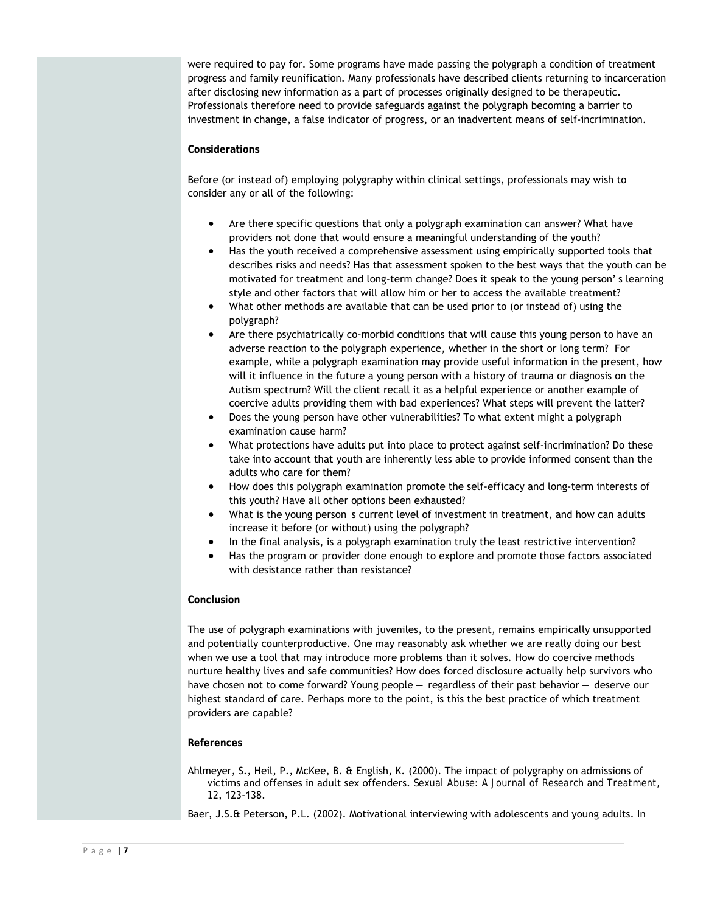were required to pay for. Some programs have made passing the polygraph a condition of treatment progress and family reunification. Many professionals have described clients returning to incarceration after disclosing new information as a part of processes originally designed to be therapeutic. Professionals therefore need to provide safeguards against the polygraph becoming a barrier to investment in change, a false indicator of progress, or an inadvertent means of self-incrimination.

# **Considerations**

Before (or instead of) employing polygraphy within clinical settings, professionals may wish to consider any or all of the following:

- Are there specific questions that only a polygraph examination can answer? What have providers not done that would ensure a meaningful understanding of the youth?
- Has the youth received a comprehensive assessment using empirically supported tools that describes risks and needs? Has that assessment spoken to the best ways that the youth can be motivated for treatment and long-term change? Does it speak to the young person' s learning style and other factors that will allow him or her to access the available treatment?
- What other methods are available that can be used prior to (or instead of) using the polygraph?
- Are there psychiatrically co-morbid conditions that will cause this young person to have an adverse reaction to the polygraph experience, whether in the short or long term? For example, while a polygraph examination may provide useful information in the present, how will it influence in the future a young person with a history of trauma or diagnosis on the Autism spectrum? Will the client recall it as a helpful experience or another example of coercive adults providing them with bad experiences? What steps will prevent the latter?
- Does the young person have other vulnerabilities? To what extent might a polygraph examination cause harm?
- What protections have adults put into place to protect against self-incrimination? Do these take into account that youth are inherently less able to provide informed consent than the adults who care for them?
- How does this polygraph examination promote the self-efficacy and long-term interests of this youth? Have all other options been exhausted?
- What is the young person s current level of investment in treatment, and how can adults increase it before (or without) using the polygraph?
- In the final analysis, is a polygraph examination truly the least restrictive intervention?
- Has the program or provider done enough to explore and promote those factors associated with desistance rather than resistance?

## **Conclusion**

The use of polygraph examinations with juveniles, to the present, remains empirically unsupported and potentially counterproductive. One may reasonably ask whether we are really doing our best when we use a tool that may introduce more problems than it solves. How do coercive methods nurture healthy lives and safe communities? How does forced disclosure actually help survivors who have chosen not to come forward? Young people — regardless of their past behavior — deserve our highest standard of care. Perhaps more to the point, is this the best practice of which treatment providers are capable?

## **References**

Ahlmeyer, S., Heil, P., McKee, B. & English, K. (2000). The impact of polygraphy on admissions of victims and offenses in adult sex offenders. *Sexual Abuse: A Journal of Research and Treatment, 12*, 123-138.

Baer, J.S.& Peterson, P.L. (2002). Motivational interviewing with adolescents and young adults. In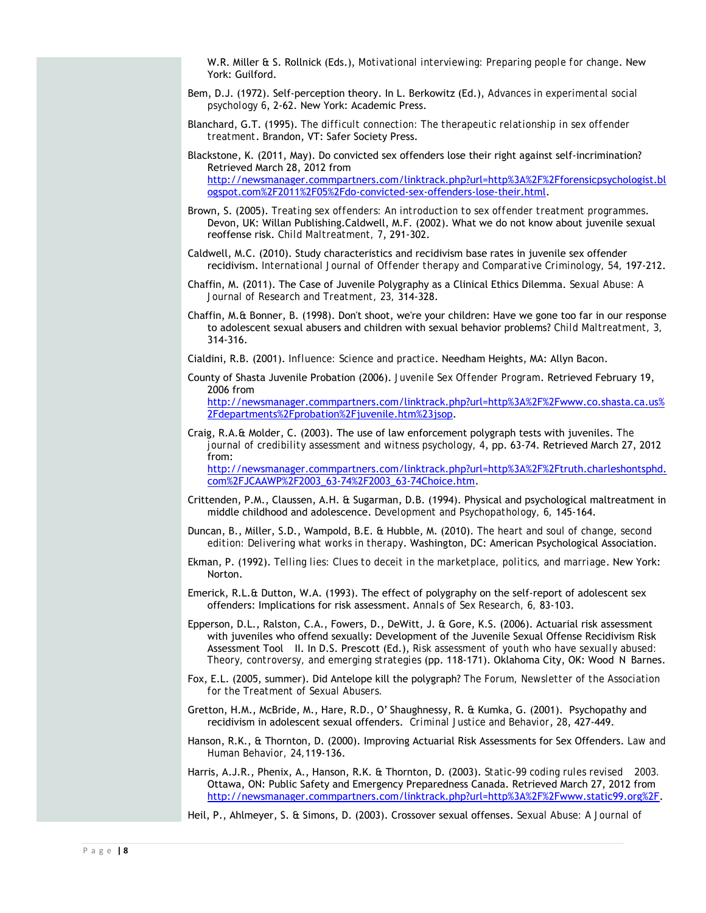W.R. Miller & S. Rollnick (Eds.), *Motivational interviewing: Preparing people for change*. New York: Guilford.

- Bem, D.J. (1972). Self-perception theory. In L. Berkowitz (Ed.), *Advances in experimental social psychology 6*, 2-62. New York: Academic Press.
- Blanchard, G.T. (1995). *The difficult connection: The therapeutic relationship in sex offender treatment*. Brandon, VT: Safer Society Press.
- Blackstone, K. (2011, May). Do convicted sex offenders lose their right against self-incrimination? Retrieved March 28, 2012 from http://newsmanager.commpartners.com/linktrack.php?url=http%3A%2F%2Fforensicpsychologist.bl ogspot.com%2F2011%2F05%2Fdo-convicted-sex-offenders-lose-their.html.
- Brown, S. (2005). *Treating sex offenders: An introduction to sex offender treatment programmes*. Devon, UK: Willan Publishing.Caldwell, M.F. (2002). What we do not know about juvenile sexual reoffense risk. *Child Maltreatment, 7*, 291-302.
- Caldwell, M.C. (2010). Study characteristics and recidivism base rates in juvenile sex offender recidivism. *International Journal of Offender therapy and Comparative Criminology, 54,* 197-212.
- Chaffin, M. (2011). The Case of Juvenile Polygraphy as a Clinical Ethics Dilemma. *Sexual Abuse: A Journal of Research and Treatment, 23,* 314-328.
- Chaffin, M.& Bonner, B. (1998). Don't shoot, we're your children: Have we gone too far in our response to adolescent sexual abusers and children with sexual behavior problems? *Child Maltreatment, 3,*  314-316.

Cialdini, R.B. (2001). *Influence: Science and practice*. Needham Heights, MA: Allyn Bacon.

- County of Shasta Juvenile Probation (2006). *Juvenile Sex Offender Program*. Retrieved February 19, 2006 from http://newsmanager.commpartners.com/linktrack.php?url=http%3A%2F%2Fwww.co.shasta.ca.us% 2Fdepartments%2Fprobation%2Fjuvenile.htm%23jsop.
- Craig, R.A.& Molder, C. (2003). The use of law enforcement polygraph tests with juveniles. *The journal of credibility assessment and witness psychology, 4*, pp. 63-74. Retrieved March 27, 2012 from: http://newsmanager.commpartners.com/linktrack.php?url=http%3A%2F%2Ftruth.charleshontsphd. com%2FJCAAWP%2F2003\_63-74%2F2003\_63-74Choice.htm.
- Crittenden, P.M., Claussen, A.H. & Sugarman, D.B. (1994). Physical and psychological maltreatment in middle childhood and adolescence. *Development and Psychopathology, 6,* 145-164.
- Duncan, B., Miller, S.D., Wampold, B.E. & Hubble, M. (2010). *The heart and soul of change, second edition: Delivering what works in therapy*. Washington, DC: American Psychological Association.
- Ekman, P. (1992). *Telling lies: Clues to deceit in the marketplace, politics, and marriage*. New York: Norton.
- Emerick, R.L.& Dutton, W.A. (1993). The effect of polygraphy on the self-report of adolescent sex offenders: Implications for risk assessment. *Annals of Sex Research, 6,* 83-103.
- Epperson, D.L., Ralston, C.A., Fowers, D., DeWitt, J. & Gore, K.S. (2006). Actuarial risk assessment with juveniles who offend sexually: Development of the Juvenile Sexual Offense Recidivism Risk Assessment Tool II. In D.S. Prescott (Ed.), *Risk assessment of youth who have sexually abused: Theory, controversy, and emerging strategies* (pp. 118-171). Oklahoma City, OK: Wood N Barnes.
- Fox, E.L. (2005, summer). Did Antelope kill the polygraph? *The Forum, Newsletter of the Association for the Treatment of Sexual Abusers.*
- Gretton, H.M., McBride, M., Hare, R.D., O' Shaughnessy, R. & Kumka, G. (2001). Psychopathy and recidivism in adolescent sexual offenders. *Criminal Justice and Behavior*, *28*, 427-449.
- Hanson, R.K., & Thornton, D. (2000). Improving Actuarial Risk Assessments for Sex Offenders. *Law and Human Behavior, 24,*119-136.
- Harris, A.J.R., Phenix, A., Hanson, R.K. & Thornton, D. (2003). *Static-99 coding rules revised 2003.*  Ottawa, ON: Public Safety and Emergency Preparedness Canada. Retrieved March 27, 2012 from http://newsmanager.commpartners.com/linktrack.php?url=http%3A%2F%2Fwww.static99.org%2F.

Heil, P., Ahlmeyer, S. & Simons, D. (2003). Crossover sexual offenses. *Sexual Abuse: A Journal of*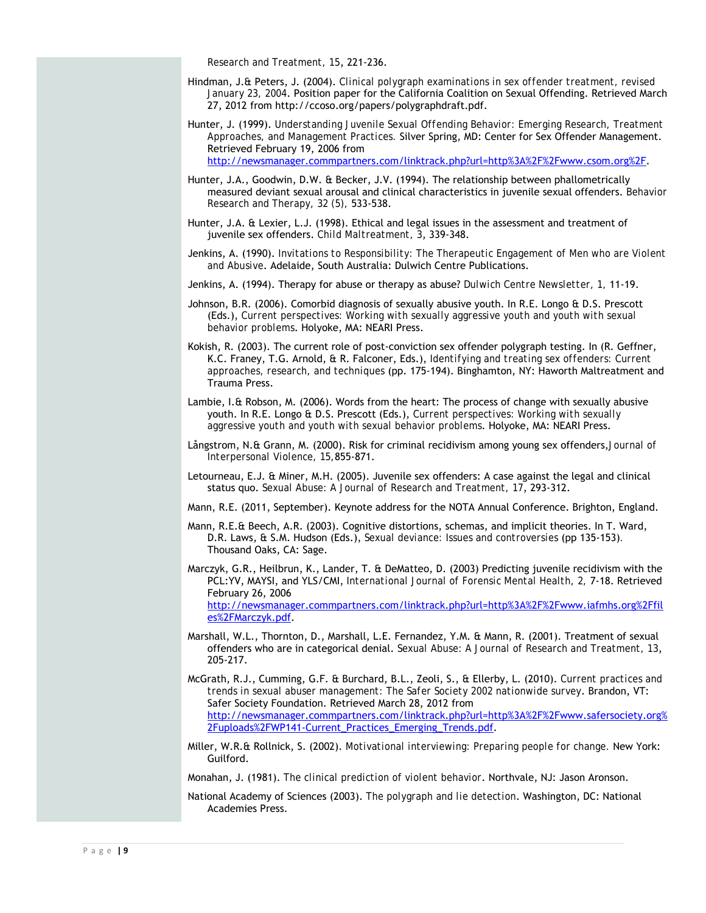*Research and Treatment, 15*, 221-236.

- Hindman, J.& Peters, J. (2004). *Clinical polygraph examinations in sex offender treatment, revised January 23, 2004*. Position paper for the California Coalition on Sexual Offending. Retrieved March 27, 2012 from http://ccoso.org/papers/polygraphdraft.pdf.
- Hunter, J. (1999). *Understanding Juvenile Sexual Offending Behavior: Emerging Research, Treatment Approaches, and Management Practices.* Silver Spring, MD: Center for Sex Offender Management. Retrieved February 19, 2006 from http://newsmanager.commpartners.com/linktrack.php?url=http%3A%2F%2Fwww.csom.org%2F.
- Hunter, J.A., Goodwin, D.W. & Becker, J.V. (1994). The relationship between phallometrically measured deviant sexual arousal and clinical characteristics in juvenile sexual offenders. *Behavior Research and Therapy, 32 (5),* 533-538.
- Hunter, J.A. & Lexier, L.J. (1998). Ethical and legal issues in the assessment and treatment of juvenile sex offenders. *Child Maltreatment, 3*, 339-348.
- Jenkins, A. (1990). *Invitations to Responsibility: The Therapeutic Engagement of Men who are Violent and Abusive*. Adelaide, South Australia: Dulwich Centre Publications.
- Jenkins, A. (1994). Therapy for abuse or therapy as abuse? *Dulwich Centre Newsletter, 1,* 11-19.
- Johnson, B.R. (2006). Comorbid diagnosis of sexually abusive youth. In R.E. Longo & D.S. Prescott (Eds.), *Current perspectives: Working with sexually aggressive youth and youth with sexual behavior problems*. Holyoke, MA: NEARI Press.
- Kokish, R. (2003). The current role of post-conviction sex offender polygraph testing. In (R. Geffner, K.C. Franey, T.G. Arnold, & R. Falconer, Eds.), *Identifying and treating sex offenders: Current approaches, research, and techniques* (pp. 175-194). Binghamton, NY: Haworth Maltreatment and Trauma Press.
- Lambie, I. $\text{ft}$  Robson, M. (2006). Words from the heart: The process of change with sexually abusive youth. In R.E. Longo & D.S. Prescott (Eds.), *Current perspectives: Working with sexually aggressive youth and youth with sexual behavior problems*. Holyoke, MA: NEARI Press.
- Långstrom, N.& Grann, M. (2000). Risk for criminal recidivism among young sex offenders,*Journal of Interpersonal Violence, 15,*855-871.
- Letourneau, E.J. & Miner, M.H. (2005). Juvenile sex offenders: A case against the legal and clinical status quo. *Sexual Abuse: A Journal of Research and Treatment, 17*, 293-312.
- Mann, R.E. (2011, September). Keynote address for the NOTA Annual Conference. Brighton, England.
- Mann, R.E.& Beech, A.R. (2003). Cognitive distortions, schemas, and implicit theories. In T. Ward, D.R. Laws, & S.M. Hudson (Eds.), *Sexual deviance: Issues and controversies* (pp 135-153)*.* Thousand Oaks, CA: Sage.
- Marczyk, G.R., Heilbrun, K., Lander, T. & DeMatteo, D. (2003) Predicting juvenile recidivism with the PCL:YV, MAYSI, and YLS/CMI, *International Journal of Forensic Mental Health, 2,* 7-18. Retrieved February 26, 2006 http://newsmanager.commpartners.com/linktrack.php?url=http%3A%2F%2Fwww.iafmhs.org%2Ffil es%2FMarczyk.pdf.
- Marshall, W.L., Thornton, D., Marshall, L.E. Fernandez, Y.M. & Mann, R. (2001). Treatment of sexual offenders who are in categorical denial. *Sexual Abuse: A Journal of Research and Treatment, 13*, 205-217.
- McGrath, R.J., Cumming, G.F. & Burchard, B.L., Zeoli, S., & Ellerby, L. (2010). *Current practices and trends in sexual abuser management: The Safer Society 2002 nationwide survey*. Brandon, VT: Safer Society Foundation. Retrieved March 28, 2012 from http://newsmanager.commpartners.com/linktrack.php?url=http%3A%2F%2Fwww.safersociety.org% 2Fuploads%2FWP141-Current\_Practices\_Emerging\_Trends.pdf.
- Miller, W.R.& Rollnick, S. (2002). *Motivational interviewing: Preparing people for change.* New York: Guilford.
- Monahan, J. (1981). *The clinical prediction of violent behavior*. Northvale, NJ: Jason Aronson.
- National Academy of Sciences (2003). *The polygraph and lie detection*. Washington, DC: National Academies Press.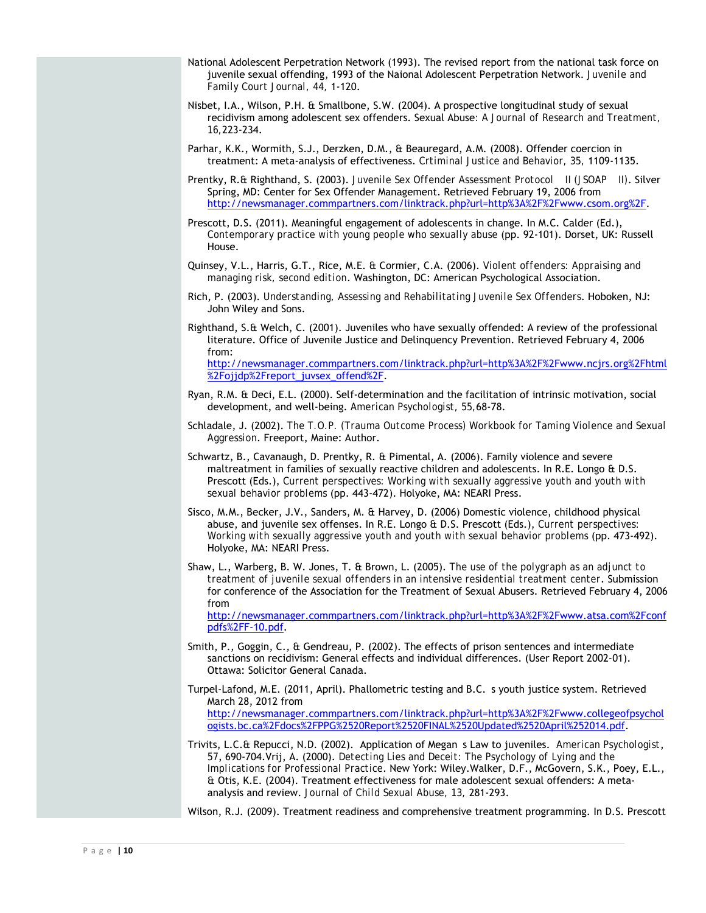- National Adolescent Perpetration Network (1993). The revised report from the national task force on juvenile sexual offending, 1993 of the Naional Adolescent Perpetration Network. *Juvenile and Family Court Journal, 44,* 1-120.
- Nisbet, I.A., Wilson, P.H. & Smallbone, S.W. (2004). A prospective longitudinal study of sexual recidivism among adolescent sex offenders. Sexual Abuse*: A Journal of Research and Treatment, 16,*223-234.
- Parhar, K.K., Wormith, S.J., Derzken, D.M., & Beauregard, A.M. (2008). Offender coercion in treatment: A meta-analysis of effectiveness. *Crtiminal Justice and Behavior, 35,* 1109-1135.
- Prentky, R.& Righthand, S. (2003). *Juvenile Sex Offender Assessment Protocol II (JSOAP II)*. Silver Spring, MD: Center for Sex Offender Management. Retrieved February 19, 2006 from http://newsmanager.commpartners.com/linktrack.php?url=http%3A%2F%2Fwww.csom.org%2F.
- Prescott, D.S. (2011). Meaningful engagement of adolescents in change. In M.C. Calder (Ed.), *Contemporary practice with young people who sexually abuse* (pp. 92-101). Dorset, UK: Russell House.
- Quinsey, V.L., Harris, G.T., Rice, M.E. & Cormier, C.A. (2006). *Violent offenders: Appraising and managing risk, second edition*. Washington, DC: American Psychological Association.
- Rich, P. (2003). *Understanding, Assessing and Rehabilitating Juvenile Sex Offenders*. Hoboken, NJ: John Wiley and Sons.
- Righthand, S.& Welch, C. (2001). Juveniles who have sexually offended: A review of the professional literature. Office of Juvenile Justice and Delinquency Prevention. Retrieved February 4, 2006 from: http://newsmanager.commpartners.com/linktrack.php?url=http%3A%2F%2Fwww.ncjrs.org%2Fhtml %2Fojjdp%2Freport\_juvsex\_offend%2F.
- Ryan, R.M. & Deci, E.L. (2000). Self-determination and the facilitation of intrinsic motivation, social development, and well-being. *American Psychologist, 55,*68-78.
- Schladale, J. (2002). *The T.O.P. (Trauma Outcome Process) Workbook for Taming Violence and Sexual Aggression*. Freeport, Maine: Author.
- Schwartz, B., Cavanaugh, D. Prentky, R. & Pimental, A. (2006). Family violence and severe maltreatment in families of sexually reactive children and adolescents. In R.E. Longo & D.S. Prescott (Eds.), *Current perspectives: Working with sexually aggressive youth and youth with sexual behavior problems* (pp. 443-472). Holyoke, MA: NEARI Press.
- Sisco, M.M., Becker, J.V., Sanders, M. & Harvey, D. (2006) Domestic violence, childhood physical abuse, and juvenile sex offenses. In R.E. Longo & D.S. Prescott (Eds.), *Current perspectives: Working with sexually aggressive youth and youth with sexual behavior problems* (pp. 473-492). Holyoke, MA: NEARI Press.
- Shaw, L., Warberg, B. W. Jones, T. & Brown, L. (2005). *The use of the polygraph as an adjunct to treatment of juvenile sexual offenders in an intensive residential treatment center*. Submission for conference of the Association for the Treatment of Sexual Abusers. Retrieved February 4, 2006 from

http://newsmanager.commpartners.com/linktrack.php?url=http%3A%2F%2Fwww.atsa.com%2Fconf pdfs%2FF-10.pdf.

- Smith, P., Goggin, C., & Gendreau, P. (2002). The effects of prison sentences and intermediate sanctions on recidivism: General effects and individual differences. (User Report 2002-01). Ottawa: Solicitor General Canada.
- Turpel-Lafond, M.E. (2011, April). Phallometric testing and B.C. s youth justice system. Retrieved March 28, 2012 from http://newsmanager.commpartners.com/linktrack.php?url=http%3A%2F%2Fwww.collegeofpsychol ogists.bc.ca%2Fdocs%2FPPG%2520Report%2520FINAL%2520Updated%2520April%252014.pdf.
- Trivits, L.C.& Repucci, N.D. (2002). Application of Megan s Law to juveniles. *American Psychologist*, *57*, 690-704.Vrij, A. (2000). *Detecting Lies and Deceit: The Psychology of Lying and the Implications for Professional Practice*. New York: Wiley.Walker, D.F., McGovern, S.K., Poey, E.L., & Otis, K.E. (2004). Treatment effectiveness for male adolescent sexual offenders: A metaanalysis and review. *Journal of Child Sexual Abuse, 13,* 281-293.

Wilson, R.J. (2009). Treatment readiness and comprehensive treatment programming. In D.S. Prescott